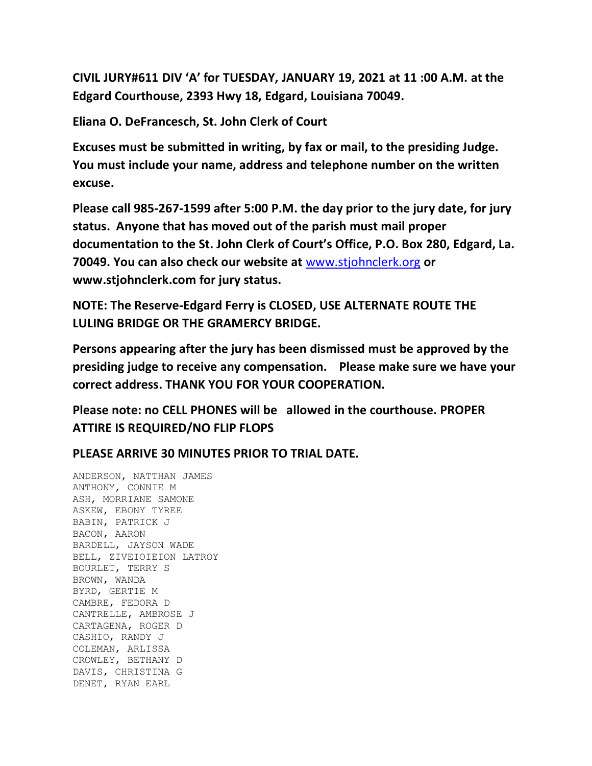**CIVIL JURY#611 DIV 'A' for TUESDAY, JANUARY 19, 2021 at 11 :00 A.M. at the Edgard Courthouse, 2393 Hwy 18, Edgard, Louisiana 70049.**

**Eliana O. DeFrancesch, St. John Clerk of Court**

**Excuses must be submitted in writing, by fax or mail, to the presiding Judge. You must include your name, address and telephone number on the written excuse.**

**Please call 985-267-1599 after 5:00 P.M. the day prior to the jury date, for jury status. Anyone that has moved out of the parish must mail proper documentation to the St. John Clerk of Court's Office, P.O. Box 280, Edgard, La. 70049. You can also check our website at** [www.stjohnclerk.org](http://www.stjohnclerk.org/) **or www.stjohnclerk.com for jury status.**

**NOTE: The Reserve-Edgard Ferry is CLOSED, USE ALTERNATE ROUTE THE LULING BRIDGE OR THE GRAMERCY BRIDGE.**

**Persons appearing after the jury has been dismissed must be approved by the presiding judge to receive any compensation. Please make sure we have your correct address. THANK YOU FOR YOUR COOPERATION.**

**Please note: no CELL PHONES will be allowed in the courthouse. PROPER ATTIRE IS REQUIRED/NO FLIP FLOPS**

**PLEASE ARRIVE 30 MINUTES PRIOR TO TRIAL DATE.**

ANDERSON, NATTHAN JAMES ANTHONY, CONNIE M ASH, MORRIANE SAMONE ASKEW, EBONY TYREE BABIN, PATRICK J BACON, AARON BARDELL, JAYSON WADE BELL, ZIVEIOIEION LATROY BOURLET, TERRY S BROWN, WANDA BYRD, GERTIE M CAMBRE, FEDORA D CANTRELLE, AMBROSE J CARTAGENA, ROGER D CASHIO, RANDY J COLEMAN, ARLISSA CROWLEY, BETHANY D DAVIS, CHRISTINA G DENET, RYAN EARL